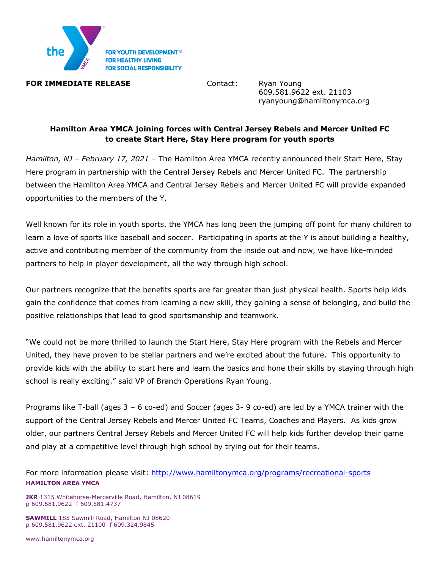

## **FOR IMMEDIATE RELEASE Contact:** Ryan Young

609.581.9622 ext. 21103 ryanyoung@hamiltonymca.org

# **Hamilton Area YMCA joining forces with Central Jersey Rebels and Mercer United FC to create Start Here, Stay Here program for youth sports**

*Hamilton, NJ – February 17, 2021 –* The Hamilton Area YMCA recently announced their Start Here, Stay Here program in partnership with the Central Jersey Rebels and Mercer United FC. The partnership between the Hamilton Area YMCA and Central Jersey Rebels and Mercer United FC will provide expanded opportunities to the members of the Y.

Well known for its role in youth sports, the YMCA has long been the jumping off point for many children to learn a love of sports like baseball and soccer. Participating in sports at the Y is about building a healthy, active and contributing member of the community from the inside out and now, we have like-minded partners to help in player development, all the way through high school.

Our partners recognize that the benefits sports are far greater than just physical health. Sports help kids gain the confidence that comes from learning a new skill, they gaining a sense of belonging, and build the positive relationships that lead to good sportsmanship and teamwork.

"We could not be more thrilled to launch the Start Here, Stay Here program with the Rebels and Mercer United, they have proven to be stellar partners and we're excited about the future. This opportunity to provide kids with the ability to start here and learn the basics and hone their skills by staying through high school is really exciting." said VP of Branch Operations Ryan Young.

Programs like T-ball (ages 3 – 6 co-ed) and Soccer (ages 3- 9 co-ed) are led by a YMCA trainer with the support of the Central Jersey Rebels and Mercer United FC Teams, Coaches and Players. As kids grow older, our partners Central Jersey Rebels and Mercer United FC will help kids further develop their game and play at a competitive level through high school by trying out for their teams.

**HAMILTON AREA YMCA** For more information please visit: http://www.hamiltonymca.org/programs/recreational-sports

**JKR** 1315 Whitehorse-Mercerville Road, Hamilton, NJ 08619 p 609.581.9622 f 609.581.4737

**SAWMILL** 185 Sawmill Road, Hamilton NJ 08620 p 609.581.9622 ext. 21100 f 609.324.9845

www.hamiltonymca.org